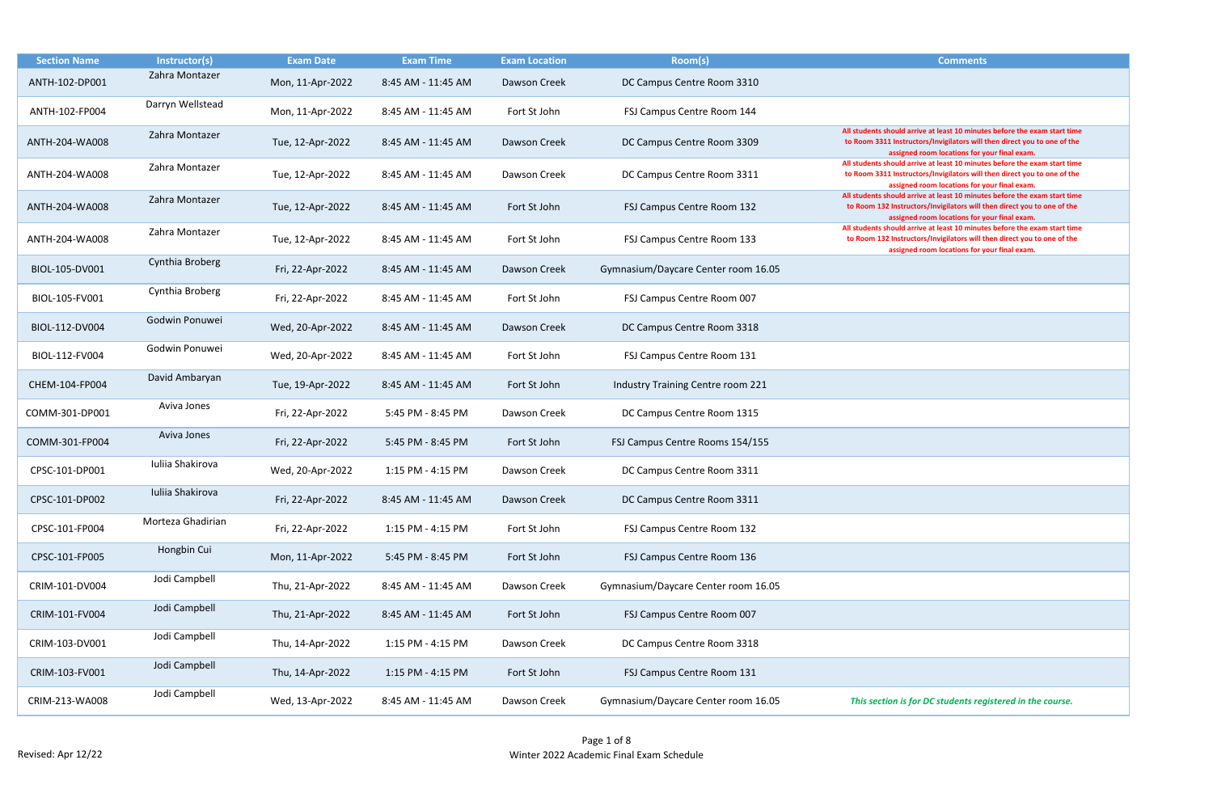| All students should arrive at least 10 minutes before the exam start time<br>to Room 3311 Instructors/Invigilators will then direct you to one of the<br>assigned room locations for your final exam.<br>All students should arrive at least 10 minutes before the exam start time<br>to Room 3311 Instructors/Invigilators will then direct you to one of the |
|----------------------------------------------------------------------------------------------------------------------------------------------------------------------------------------------------------------------------------------------------------------------------------------------------------------------------------------------------------------|
| assigned room locations for your final exam.<br>All students should arrive at least 10 minutes before the exam start time<br>to Room 132 Instructors/Invigilators will then direct you to one of the                                                                                                                                                           |
| assigned room locations for your final exam.<br>All students should arrive at least 10 minutes before the exam start time<br>to Room 132 Instructors/Invigilators will then direct you to one of the<br>assigned room locations for your final exam.                                                                                                           |
|                                                                                                                                                                                                                                                                                                                                                                |
|                                                                                                                                                                                                                                                                                                                                                                |
|                                                                                                                                                                                                                                                                                                                                                                |
|                                                                                                                                                                                                                                                                                                                                                                |
|                                                                                                                                                                                                                                                                                                                                                                |
|                                                                                                                                                                                                                                                                                                                                                                |
|                                                                                                                                                                                                                                                                                                                                                                |
|                                                                                                                                                                                                                                                                                                                                                                |
|                                                                                                                                                                                                                                                                                                                                                                |
|                                                                                                                                                                                                                                                                                                                                                                |
|                                                                                                                                                                                                                                                                                                                                                                |
|                                                                                                                                                                                                                                                                                                                                                                |
|                                                                                                                                                                                                                                                                                                                                                                |
|                                                                                                                                                                                                                                                                                                                                                                |
|                                                                                                                                                                                                                                                                                                                                                                |
| This section is for DC students registered in the course.                                                                                                                                                                                                                                                                                                      |

| <b>Section Name</b> | Instructor(s)     | <b>Exam Date</b> | <b>Exam Time</b>   | <b>Exam Location</b> | Room(s)                             | <b>Comments</b>                                                                                                                                                                                   |
|---------------------|-------------------|------------------|--------------------|----------------------|-------------------------------------|---------------------------------------------------------------------------------------------------------------------------------------------------------------------------------------------------|
| ANTH-102-DP001      | Zahra Montazer    | Mon, 11-Apr-2022 | 8:45 AM - 11:45 AM | Dawson Creek         | DC Campus Centre Room 3310          |                                                                                                                                                                                                   |
| ANTH-102-FP004      | Darryn Wellstead  | Mon, 11-Apr-2022 | 8:45 AM - 11:45 AM | Fort St John         | FSJ Campus Centre Room 144          |                                                                                                                                                                                                   |
| ANTH-204-WA008      | Zahra Montazer    | Tue, 12-Apr-2022 | 8:45 AM - 11:45 AM | Dawson Creek         | DC Campus Centre Room 3309          | All students should arrive at least 10 minutes before the exam start ti<br>to Room 3311 Instructors/Invigilators will then direct you to one of t<br>assigned room locations for your final exam. |
| ANTH-204-WA008      | Zahra Montazer    | Tue, 12-Apr-2022 | 8:45 AM - 11:45 AM | Dawson Creek         | DC Campus Centre Room 3311          | All students should arrive at least 10 minutes before the exam start ti<br>to Room 3311 Instructors/Invigilators will then direct you to one of t<br>assigned room locations for your final exam. |
| ANTH-204-WA008      | Zahra Montazer    | Tue, 12-Apr-2022 | 8:45 AM - 11:45 AM | Fort St John         | FSJ Campus Centre Room 132          | All students should arrive at least 10 minutes before the exam start ti<br>to Room 132 Instructors/Invigilators will then direct you to one of th<br>assigned room locations for your final exam. |
| ANTH-204-WA008      | Zahra Montazer    | Tue, 12-Apr-2022 | 8:45 AM - 11:45 AM | Fort St John         | FSJ Campus Centre Room 133          | All students should arrive at least 10 minutes before the exam start ti<br>to Room 132 Instructors/Invigilators will then direct you to one of th<br>assigned room locations for your final exam. |
| BIOL-105-DV001      | Cynthia Broberg   | Fri, 22-Apr-2022 | 8:45 AM - 11:45 AM | Dawson Creek         | Gymnasium/Daycare Center room 16.05 |                                                                                                                                                                                                   |
| BIOL-105-FV001      | Cynthia Broberg   | Fri, 22-Apr-2022 | 8:45 AM - 11:45 AM | Fort St John         | FSJ Campus Centre Room 007          |                                                                                                                                                                                                   |
| BIOL-112-DV004      | Godwin Ponuwei    | Wed, 20-Apr-2022 | 8:45 AM - 11:45 AM | Dawson Creek         | DC Campus Centre Room 3318          |                                                                                                                                                                                                   |
| BIOL-112-FV004      | Godwin Ponuwei    | Wed, 20-Apr-2022 | 8:45 AM - 11:45 AM | Fort St John         | FSJ Campus Centre Room 131          |                                                                                                                                                                                                   |
| CHEM-104-FP004      | David Ambaryan    | Tue, 19-Apr-2022 | 8:45 AM - 11:45 AM | Fort St John         | Industry Training Centre room 221   |                                                                                                                                                                                                   |
| COMM-301-DP001      | Aviva Jones       | Fri, 22-Apr-2022 | 5:45 PM - 8:45 PM  | Dawson Creek         | DC Campus Centre Room 1315          |                                                                                                                                                                                                   |
| COMM-301-FP004      | Aviva Jones       | Fri, 22-Apr-2022 | 5:45 PM - 8:45 PM  | Fort St John         | FSJ Campus Centre Rooms 154/155     |                                                                                                                                                                                                   |
| CPSC-101-DP001      | Iuliia Shakirova  | Wed, 20-Apr-2022 | 1:15 PM - 4:15 PM  | Dawson Creek         | DC Campus Centre Room 3311          |                                                                                                                                                                                                   |
| CPSC-101-DP002      | Iuliia Shakirova  | Fri, 22-Apr-2022 | 8:45 AM - 11:45 AM | Dawson Creek         | DC Campus Centre Room 3311          |                                                                                                                                                                                                   |
| CPSC-101-FP004      | Morteza Ghadirian | Fri, 22-Apr-2022 | 1:15 PM - 4:15 PM  | Fort St John         | FSJ Campus Centre Room 132          |                                                                                                                                                                                                   |
| CPSC-101-FP005      | Hongbin Cui       | Mon, 11-Apr-2022 | 5:45 PM - 8:45 PM  | Fort St John         | FSJ Campus Centre Room 136          |                                                                                                                                                                                                   |
| CRIM-101-DV004      | Jodi Campbell     | Thu, 21-Apr-2022 | 8:45 AM - 11:45 AM | Dawson Creek         | Gymnasium/Daycare Center room 16.05 |                                                                                                                                                                                                   |
| CRIM-101-FV004      | Jodi Campbell     | Thu, 21-Apr-2022 | 8:45 AM - 11:45 AM | Fort St John         | FSJ Campus Centre Room 007          |                                                                                                                                                                                                   |
| CRIM-103-DV001      | Jodi Campbell     | Thu, 14-Apr-2022 | 1:15 PM - 4:15 PM  | Dawson Creek         | DC Campus Centre Room 3318          |                                                                                                                                                                                                   |
| CRIM-103-FV001      | Jodi Campbell     | Thu, 14-Apr-2022 | 1:15 PM - 4:15 PM  | Fort St John         | FSJ Campus Centre Room 131          |                                                                                                                                                                                                   |
| CRIM-213-WA008      | Jodi Campbell     | Wed, 13-Apr-2022 | 8:45 AM - 11:45 AM | Dawson Creek         | Gymnasium/Daycare Center room 16.05 | This section is for DC students registered in the course.                                                                                                                                         |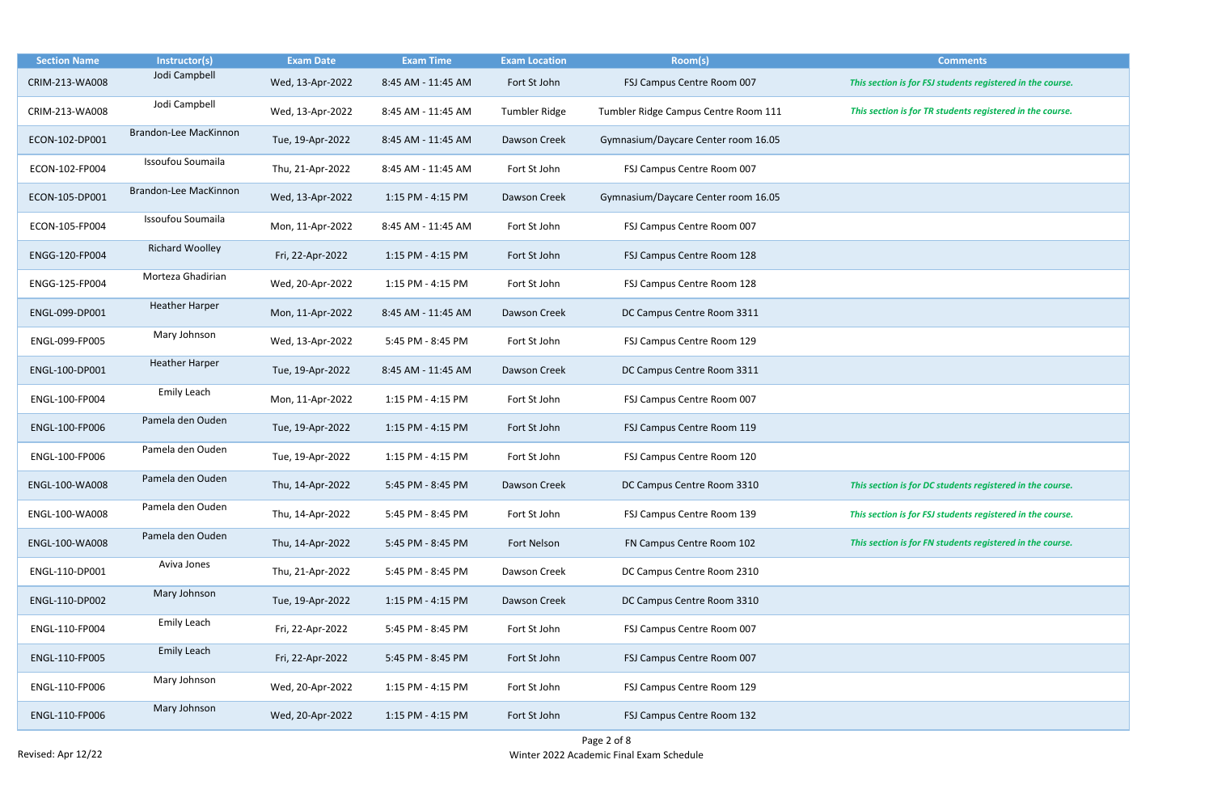| <b>Section Name</b> | Instructor(s)                | <b>Exam Date</b> | <b>Exam Time</b>   | <b>Exam Location</b> | Room(s)                              | <b>Comments</b>                                            |
|---------------------|------------------------------|------------------|--------------------|----------------------|--------------------------------------|------------------------------------------------------------|
| CRIM-213-WA008      | Jodi Campbell                | Wed, 13-Apr-2022 | 8:45 AM - 11:45 AM | Fort St John         | FSJ Campus Centre Room 007           | This section is for FSJ students registered in the course. |
| CRIM-213-WA008      | Jodi Campbell                | Wed, 13-Apr-2022 | 8:45 AM - 11:45 AM | <b>Tumbler Ridge</b> | Tumbler Ridge Campus Centre Room 111 | This section is for TR students registered in the course.  |
| ECON-102-DP001      | Brandon-Lee MacKinnon        | Tue, 19-Apr-2022 | 8:45 AM - 11:45 AM | Dawson Creek         | Gymnasium/Daycare Center room 16.05  |                                                            |
| ECON-102-FP004      | Issoufou Soumaila            | Thu, 21-Apr-2022 | 8:45 AM - 11:45 AM | Fort St John         | FSJ Campus Centre Room 007           |                                                            |
| ECON-105-DP001      | <b>Brandon-Lee MacKinnon</b> | Wed, 13-Apr-2022 | 1:15 PM - 4:15 PM  | Dawson Creek         | Gymnasium/Daycare Center room 16.05  |                                                            |
| ECON-105-FP004      | Issoufou Soumaila            | Mon, 11-Apr-2022 | 8:45 AM - 11:45 AM | Fort St John         | FSJ Campus Centre Room 007           |                                                            |
| ENGG-120-FP004      | <b>Richard Woolley</b>       | Fri, 22-Apr-2022 | 1:15 PM - 4:15 PM  | Fort St John         | FSJ Campus Centre Room 128           |                                                            |
| ENGG-125-FP004      | Morteza Ghadirian            | Wed, 20-Apr-2022 | 1:15 PM - 4:15 PM  | Fort St John         | FSJ Campus Centre Room 128           |                                                            |
| ENGL-099-DP001      | <b>Heather Harper</b>        | Mon, 11-Apr-2022 | 8:45 AM - 11:45 AM | Dawson Creek         | DC Campus Centre Room 3311           |                                                            |
| ENGL-099-FP005      | Mary Johnson                 | Wed, 13-Apr-2022 | 5:45 PM - 8:45 PM  | Fort St John         | FSJ Campus Centre Room 129           |                                                            |
| ENGL-100-DP001      | <b>Heather Harper</b>        | Tue, 19-Apr-2022 | 8:45 AM - 11:45 AM | Dawson Creek         | DC Campus Centre Room 3311           |                                                            |
| ENGL-100-FP004      | Emily Leach                  | Mon, 11-Apr-2022 | 1:15 PM - 4:15 PM  | Fort St John         | FSJ Campus Centre Room 007           |                                                            |
| ENGL-100-FP006      | Pamela den Ouden             | Tue, 19-Apr-2022 | 1:15 PM - 4:15 PM  | Fort St John         | FSJ Campus Centre Room 119           |                                                            |
| ENGL-100-FP006      | Pamela den Ouden             | Tue, 19-Apr-2022 | 1:15 PM - 4:15 PM  | Fort St John         | FSJ Campus Centre Room 120           |                                                            |
| ENGL-100-WA008      | Pamela den Ouden             | Thu, 14-Apr-2022 | 5:45 PM - 8:45 PM  | Dawson Creek         | DC Campus Centre Room 3310           | This section is for DC students registered in the course.  |
| ENGL-100-WA008      | Pamela den Ouden             | Thu, 14-Apr-2022 | 5:45 PM - 8:45 PM  | Fort St John         | FSJ Campus Centre Room 139           | This section is for FSJ students registered in the course. |
| ENGL-100-WA008      | Pamela den Ouden             | Thu, 14-Apr-2022 | 5:45 PM - 8:45 PM  | Fort Nelson          | FN Campus Centre Room 102            | This section is for FN students registered in the course.  |
| ENGL-110-DP001      | Aviva Jones                  | Thu, 21-Apr-2022 | 5:45 PM - 8:45 PM  | Dawson Creek         | DC Campus Centre Room 2310           |                                                            |
| ENGL-110-DP002      | Mary Johnson                 | Tue, 19-Apr-2022 | 1:15 PM - 4:15 PM  | Dawson Creek         | DC Campus Centre Room 3310           |                                                            |
| ENGL-110-FP004      | Emily Leach                  | Fri, 22-Apr-2022 | 5:45 PM - 8:45 PM  | Fort St John         | FSJ Campus Centre Room 007           |                                                            |
| ENGL-110-FP005      | Emily Leach                  | Fri, 22-Apr-2022 | 5:45 PM - 8:45 PM  | Fort St John         | FSJ Campus Centre Room 007           |                                                            |
| ENGL-110-FP006      | Mary Johnson                 | Wed, 20-Apr-2022 | 1:15 PM - 4:15 PM  | Fort St John         | FSJ Campus Centre Room 129           |                                                            |
| ENGL-110-FP006      | Mary Johnson                 | Wed, 20-Apr-2022 | 1:15 PM - 4:15 PM  | Fort St John         | FSJ Campus Centre Room 132           |                                                            |

| <b>Comments</b>                                 |
|-------------------------------------------------|
| n is for FSJ students registered in the course. |
| In is for TR students registered in the course. |
|                                                 |
|                                                 |
|                                                 |
|                                                 |
|                                                 |
|                                                 |
|                                                 |
|                                                 |
|                                                 |
|                                                 |
|                                                 |
|                                                 |
|                                                 |
|                                                 |
| n is for DC students registered in the course.  |
|                                                 |
| n is for FSJ students registered in the course. |
| n is for FN students registered in the course.  |
|                                                 |
|                                                 |
|                                                 |
|                                                 |
|                                                 |
|                                                 |
|                                                 |
|                                                 |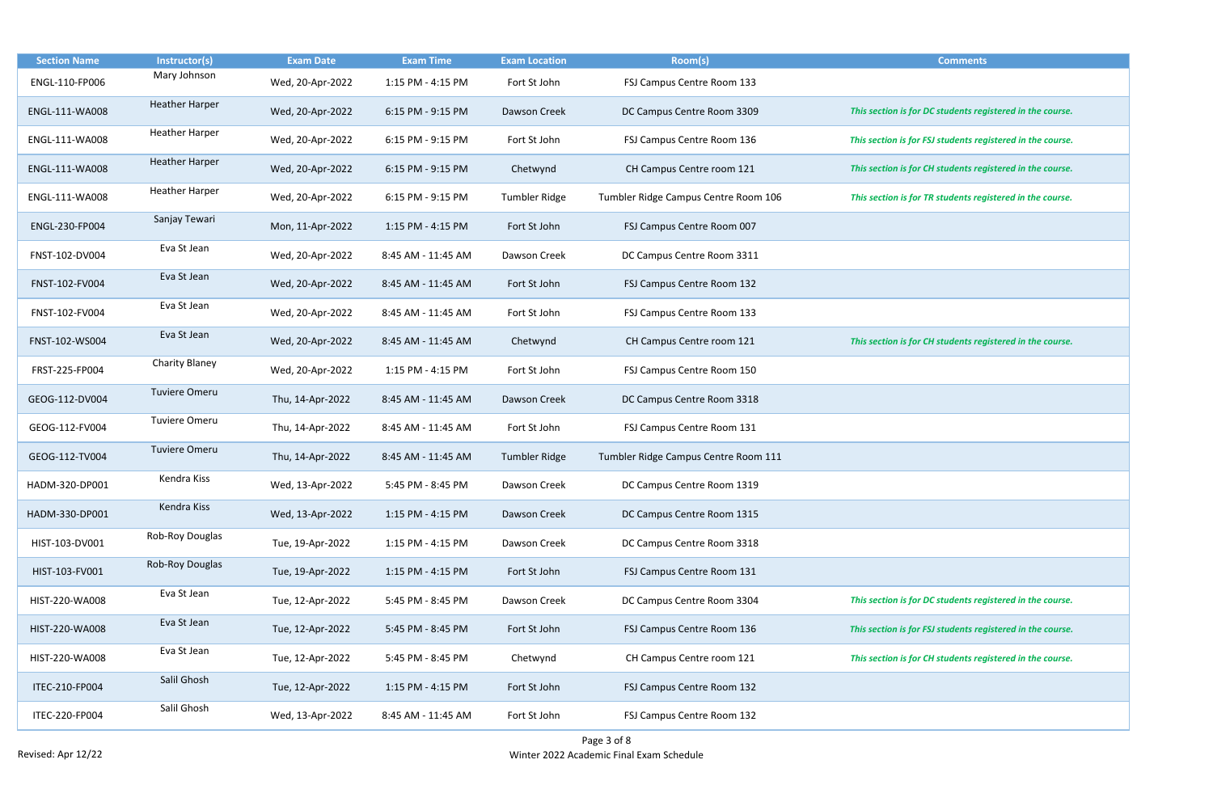| <b>Section Name</b> | Instructor(s)         | <b>Exam Date</b> | <b>Exam Time</b>   | <b>Exam Location</b> | Room(s)                              | <b>Comments</b>                                            |
|---------------------|-----------------------|------------------|--------------------|----------------------|--------------------------------------|------------------------------------------------------------|
| ENGL-110-FP006      | Mary Johnson          | Wed, 20-Apr-2022 | 1:15 PM - 4:15 PM  | Fort St John         | FSJ Campus Centre Room 133           |                                                            |
| ENGL-111-WA008      | <b>Heather Harper</b> | Wed, 20-Apr-2022 | 6:15 PM - 9:15 PM  | Dawson Creek         | DC Campus Centre Room 3309           | This section is for DC students registered in the course.  |
| ENGL-111-WA008      | <b>Heather Harper</b> | Wed, 20-Apr-2022 | 6:15 PM - 9:15 PM  | Fort St John         | FSJ Campus Centre Room 136           | This section is for FSJ students registered in the course. |
| ENGL-111-WA008      | <b>Heather Harper</b> | Wed, 20-Apr-2022 | 6:15 PM - 9:15 PM  | Chetwynd             | CH Campus Centre room 121            | This section is for CH students registered in the course.  |
| ENGL-111-WA008      | <b>Heather Harper</b> | Wed, 20-Apr-2022 | 6:15 PM - 9:15 PM  | Tumbler Ridge        | Tumbler Ridge Campus Centre Room 106 | This section is for TR students registered in the course.  |
| ENGL-230-FP004      | Sanjay Tewari         | Mon, 11-Apr-2022 | 1:15 PM - 4:15 PM  | Fort St John         | FSJ Campus Centre Room 007           |                                                            |
| FNST-102-DV004      | Eva St Jean           | Wed, 20-Apr-2022 | 8:45 AM - 11:45 AM | Dawson Creek         | DC Campus Centre Room 3311           |                                                            |
| FNST-102-FV004      | Eva St Jean           | Wed, 20-Apr-2022 | 8:45 AM - 11:45 AM | Fort St John         | FSJ Campus Centre Room 132           |                                                            |
| FNST-102-FV004      | Eva St Jean           | Wed, 20-Apr-2022 | 8:45 AM - 11:45 AM | Fort St John         | FSJ Campus Centre Room 133           |                                                            |
| FNST-102-WS004      | Eva St Jean           | Wed, 20-Apr-2022 | 8:45 AM - 11:45 AM | Chetwynd             | CH Campus Centre room 121            | This section is for CH students registered in the course.  |
| FRST-225-FP004      | Charity Blaney        | Wed, 20-Apr-2022 | 1:15 PM - 4:15 PM  | Fort St John         | FSJ Campus Centre Room 150           |                                                            |
| GEOG-112-DV004      | <b>Tuviere Omeru</b>  | Thu, 14-Apr-2022 | 8:45 AM - 11:45 AM | Dawson Creek         | DC Campus Centre Room 3318           |                                                            |
| GEOG-112-FV004      | <b>Tuviere Omeru</b>  | Thu, 14-Apr-2022 | 8:45 AM - 11:45 AM | Fort St John         | FSJ Campus Centre Room 131           |                                                            |
| GEOG-112-TV004      | <b>Tuviere Omeru</b>  | Thu, 14-Apr-2022 | 8:45 AM - 11:45 AM | <b>Tumbler Ridge</b> | Tumbler Ridge Campus Centre Room 111 |                                                            |
| HADM-320-DP001      | Kendra Kiss           | Wed, 13-Apr-2022 | 5:45 PM - 8:45 PM  | Dawson Creek         | DC Campus Centre Room 1319           |                                                            |
| HADM-330-DP001      | Kendra Kiss           | Wed, 13-Apr-2022 | 1:15 PM - 4:15 PM  | Dawson Creek         | DC Campus Centre Room 1315           |                                                            |
| HIST-103-DV001      | Rob-Roy Douglas       | Tue, 19-Apr-2022 | 1:15 PM - 4:15 PM  | Dawson Creek         | DC Campus Centre Room 3318           |                                                            |
| HIST-103-FV001      | Rob-Roy Douglas       | Tue, 19-Apr-2022 | 1:15 PM - 4:15 PM  | Fort St John         | FSJ Campus Centre Room 131           |                                                            |
| HIST-220-WA008      | Eva St Jean           | Tue, 12-Apr-2022 | 5:45 PM - 8:45 PM  | Dawson Creek         | DC Campus Centre Room 3304           | This section is for DC students registered in the course.  |
| HIST-220-WA008      | Eva St Jean           | Tue, 12-Apr-2022 | 5:45 PM - 8:45 PM  | Fort St John         | FSJ Campus Centre Room 136           | This section is for FSJ students registered in the course. |
| HIST-220-WA008      | Eva St Jean           | Tue, 12-Apr-2022 | 5:45 PM - 8:45 PM  | Chetwynd             | CH Campus Centre room 121            | This section is for CH students registered in the course.  |
| ITEC-210-FP004      | Salil Ghosh           | Tue, 12-Apr-2022 | 1:15 PM - 4:15 PM  | Fort St John         | FSJ Campus Centre Room 132           |                                                            |
| ITEC-220-FP004      | Salil Ghosh           | Wed, 13-Apr-2022 | 8:45 AM - 11:45 AM | Fort St John         | FSJ Campus Centre Room 132           |                                                            |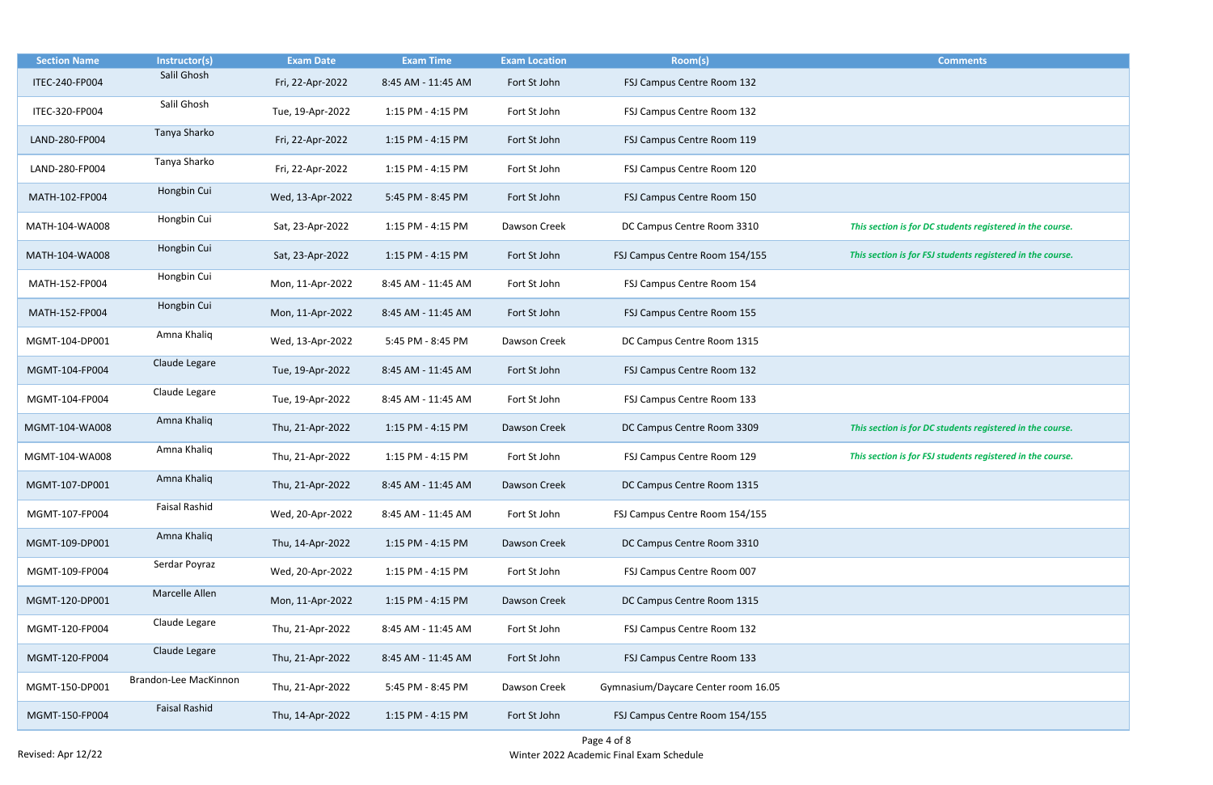| <b>Section Name</b> | Instructor(s)         | <b>Exam Date</b> | <b>Exam Time</b>   | <b>Exam Location</b> | Room(s)                             | <b>Comments</b>                                            |
|---------------------|-----------------------|------------------|--------------------|----------------------|-------------------------------------|------------------------------------------------------------|
| ITEC-240-FP004      | Salil Ghosh           | Fri, 22-Apr-2022 | 8:45 AM - 11:45 AM | Fort St John         | FSJ Campus Centre Room 132          |                                                            |
| ITEC-320-FP004      | Salil Ghosh           | Tue, 19-Apr-2022 | 1:15 PM - 4:15 PM  | Fort St John         | FSJ Campus Centre Room 132          |                                                            |
| LAND-280-FP004      | Tanya Sharko          | Fri, 22-Apr-2022 | 1:15 PM - 4:15 PM  | Fort St John         | FSJ Campus Centre Room 119          |                                                            |
| LAND-280-FP004      | Tanya Sharko          | Fri, 22-Apr-2022 | 1:15 PM - 4:15 PM  | Fort St John         | FSJ Campus Centre Room 120          |                                                            |
| MATH-102-FP004      | Hongbin Cui           | Wed, 13-Apr-2022 | 5:45 PM - 8:45 PM  | Fort St John         | FSJ Campus Centre Room 150          |                                                            |
| MATH-104-WA008      | Hongbin Cui           | Sat, 23-Apr-2022 | 1:15 PM - 4:15 PM  | Dawson Creek         | DC Campus Centre Room 3310          | This section is for DC students registered in the course.  |
| MATH-104-WA008      | Hongbin Cui           | Sat, 23-Apr-2022 | 1:15 PM - 4:15 PM  | Fort St John         | FSJ Campus Centre Room 154/155      | This section is for FSJ students registered in the course. |
| MATH-152-FP004      | Hongbin Cui           | Mon, 11-Apr-2022 | 8:45 AM - 11:45 AM | Fort St John         | FSJ Campus Centre Room 154          |                                                            |
| MATH-152-FP004      | Hongbin Cui           | Mon, 11-Apr-2022 | 8:45 AM - 11:45 AM | Fort St John         | FSJ Campus Centre Room 155          |                                                            |
| MGMT-104-DP001      | Amna Khaliq           | Wed, 13-Apr-2022 | 5:45 PM - 8:45 PM  | Dawson Creek         | DC Campus Centre Room 1315          |                                                            |
| MGMT-104-FP004      | Claude Legare         | Tue, 19-Apr-2022 | 8:45 AM - 11:45 AM | Fort St John         | FSJ Campus Centre Room 132          |                                                            |
| MGMT-104-FP004      | Claude Legare         | Tue, 19-Apr-2022 | 8:45 AM - 11:45 AM | Fort St John         | FSJ Campus Centre Room 133          |                                                            |
| MGMT-104-WA008      | Amna Khaliq           | Thu, 21-Apr-2022 | 1:15 PM - 4:15 PM  | Dawson Creek         | DC Campus Centre Room 3309          | This section is for DC students registered in the course.  |
| MGMT-104-WA008      | Amna Khaliq           | Thu, 21-Apr-2022 | 1:15 PM - 4:15 PM  | Fort St John         | FSJ Campus Centre Room 129          | This section is for FSJ students registered in the course. |
| MGMT-107-DP001      | Amna Khaliq           | Thu, 21-Apr-2022 | 8:45 AM - 11:45 AM | Dawson Creek         | DC Campus Centre Room 1315          |                                                            |
| MGMT-107-FP004      | <b>Faisal Rashid</b>  | Wed, 20-Apr-2022 | 8:45 AM - 11:45 AM | Fort St John         | FSJ Campus Centre Room 154/155      |                                                            |
| MGMT-109-DP001      | Amna Khaliq           | Thu, 14-Apr-2022 | 1:15 PM - 4:15 PM  | Dawson Creek         | DC Campus Centre Room 3310          |                                                            |
| MGMT-109-FP004      | Serdar Poyraz         | Wed, 20-Apr-2022 | 1:15 PM - 4:15 PM  | Fort St John         | FSJ Campus Centre Room 007          |                                                            |
| MGMT-120-DP001      | Marcelle Allen        | Mon, 11-Apr-2022 | 1:15 PM - 4:15 PM  | Dawson Creek         | DC Campus Centre Room 1315          |                                                            |
| MGMT-120-FP004      | Claude Legare         | Thu, 21-Apr-2022 | 8:45 AM - 11:45 AM | Fort St John         | FSJ Campus Centre Room 132          |                                                            |
| MGMT-120-FP004      | Claude Legare         | Thu, 21-Apr-2022 | 8:45 AM - 11:45 AM | Fort St John         | FSJ Campus Centre Room 133          |                                                            |
| MGMT-150-DP001      | Brandon-Lee MacKinnon | Thu, 21-Apr-2022 | 5:45 PM - 8:45 PM  | Dawson Creek         | Gymnasium/Daycare Center room 16.05 |                                                            |
| MGMT-150-FP004      | <b>Faisal Rashid</b>  | Thu, 14-Apr-2022 | 1:15 PM - 4:15 PM  | Fort St John         | FSJ Campus Centre Room 154/155      |                                                            |

| <b>Comments</b>                                 |
|-------------------------------------------------|
|                                                 |
|                                                 |
|                                                 |
|                                                 |
|                                                 |
|                                                 |
|                                                 |
|                                                 |
|                                                 |
|                                                 |
| In is for DC students registered in the course. |
|                                                 |
| n is for FSJ students registered in the course. |
|                                                 |
|                                                 |
|                                                 |
|                                                 |
|                                                 |
|                                                 |
|                                                 |
|                                                 |
|                                                 |
|                                                 |
| n is for DC students registered in the course.  |
|                                                 |
| n is for FSJ students registered in the course. |
|                                                 |
|                                                 |
|                                                 |
|                                                 |
|                                                 |
|                                                 |
|                                                 |
|                                                 |
|                                                 |
|                                                 |
|                                                 |
|                                                 |
|                                                 |
|                                                 |
|                                                 |
|                                                 |
|                                                 |
|                                                 |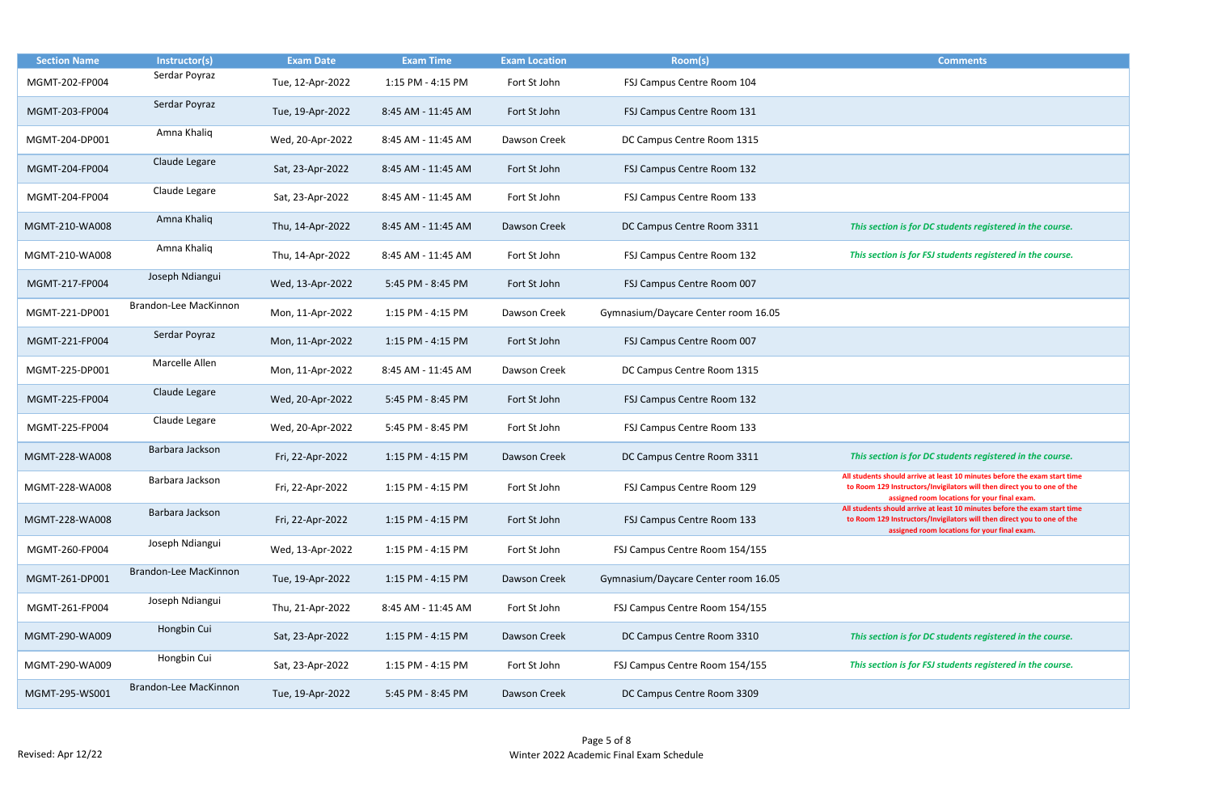| <b>Section Name</b> | Instructor(s)         | <b>Exam Date</b> | <b>Exam Time</b>   | <b>Exam Location</b> | Room(s)                             | <b>Comments</b>                                                                                                                                                                                     |
|---------------------|-----------------------|------------------|--------------------|----------------------|-------------------------------------|-----------------------------------------------------------------------------------------------------------------------------------------------------------------------------------------------------|
| MGMT-202-FP004      | Serdar Poyraz         | Tue, 12-Apr-2022 | 1:15 PM - 4:15 PM  | Fort St John         | FSJ Campus Centre Room 104          |                                                                                                                                                                                                     |
| MGMT-203-FP004      | Serdar Poyraz         | Tue, 19-Apr-2022 | 8:45 AM - 11:45 AM | Fort St John         | FSJ Campus Centre Room 131          |                                                                                                                                                                                                     |
| MGMT-204-DP001      | Amna Khaliq           | Wed, 20-Apr-2022 | 8:45 AM - 11:45 AM | Dawson Creek         | DC Campus Centre Room 1315          |                                                                                                                                                                                                     |
| MGMT-204-FP004      | Claude Legare         | Sat, 23-Apr-2022 | 8:45 AM - 11:45 AM | Fort St John         | FSJ Campus Centre Room 132          |                                                                                                                                                                                                     |
| MGMT-204-FP004      | Claude Legare         | Sat, 23-Apr-2022 | 8:45 AM - 11:45 AM | Fort St John         | FSJ Campus Centre Room 133          |                                                                                                                                                                                                     |
| MGMT-210-WA008      | Amna Khaliq           | Thu, 14-Apr-2022 | 8:45 AM - 11:45 AM | Dawson Creek         | DC Campus Centre Room 3311          | This section is for DC students registered in the course.                                                                                                                                           |
| MGMT-210-WA008      | Amna Khaliq           | Thu, 14-Apr-2022 | 8:45 AM - 11:45 AM | Fort St John         | FSJ Campus Centre Room 132          | This section is for FSJ students registered in the course.                                                                                                                                          |
| MGMT-217-FP004      | Joseph Ndiangui       | Wed, 13-Apr-2022 | 5:45 PM - 8:45 PM  | Fort St John         | FSJ Campus Centre Room 007          |                                                                                                                                                                                                     |
| MGMT-221-DP001      | Brandon-Lee MacKinnon | Mon, 11-Apr-2022 | 1:15 PM - 4:15 PM  | Dawson Creek         | Gymnasium/Daycare Center room 16.05 |                                                                                                                                                                                                     |
| MGMT-221-FP004      | Serdar Poyraz         | Mon, 11-Apr-2022 | 1:15 PM - 4:15 PM  | Fort St John         | FSJ Campus Centre Room 007          |                                                                                                                                                                                                     |
| MGMT-225-DP001      | Marcelle Allen        | Mon, 11-Apr-2022 | 8:45 AM - 11:45 AM | Dawson Creek         | DC Campus Centre Room 1315          |                                                                                                                                                                                                     |
| MGMT-225-FP004      | Claude Legare         | Wed, 20-Apr-2022 | 5:45 PM - 8:45 PM  | Fort St John         | FSJ Campus Centre Room 132          |                                                                                                                                                                                                     |
| MGMT-225-FP004      | Claude Legare         | Wed, 20-Apr-2022 | 5:45 PM - 8:45 PM  | Fort St John         | FSJ Campus Centre Room 133          |                                                                                                                                                                                                     |
| MGMT-228-WA008      | Barbara Jackson       | Fri, 22-Apr-2022 | 1:15 PM - 4:15 PM  | Dawson Creek         | DC Campus Centre Room 3311          | This section is for DC students registered in the course.                                                                                                                                           |
| MGMT-228-WA008      | Barbara Jackson       | Fri, 22-Apr-2022 | 1:15 PM - 4:15 PM  | Fort St John         | FSJ Campus Centre Room 129          | All students should arrive at least 10 minutes before the exam start tir<br>to Room 129 Instructors/Invigilators will then direct you to one of th<br>assigned room locations for your final exam.  |
| MGMT-228-WA008      | Barbara Jackson       | Fri, 22-Apr-2022 | 1:15 PM - 4:15 PM  | Fort St John         | FSJ Campus Centre Room 133          | All students should arrive at least 10 minutes before the exam start tire<br>to Room 129 Instructors/Invigilators will then direct you to one of th<br>assigned room locations for your final exam. |
| MGMT-260-FP004      | Joseph Ndiangui       | Wed, 13-Apr-2022 | 1:15 PM - 4:15 PM  | Fort St John         | FSJ Campus Centre Room 154/155      |                                                                                                                                                                                                     |
| MGMT-261-DP001      | Brandon-Lee MacKinnon | Tue, 19-Apr-2022 | 1:15 PM - 4:15 PM  | Dawson Creek         | Gymnasium/Daycare Center room 16.05 |                                                                                                                                                                                                     |
| MGMT-261-FP004      | Joseph Ndiangui       | Thu, 21-Apr-2022 | 8:45 AM - 11:45 AM | Fort St John         | FSJ Campus Centre Room 154/155      |                                                                                                                                                                                                     |
| MGMT-290-WA009      | Hongbin Cui           | Sat, 23-Apr-2022 | 1:15 PM - 4:15 PM  | Dawson Creek         | DC Campus Centre Room 3310          | This section is for DC students registered in the course.                                                                                                                                           |
| MGMT-290-WA009      | Hongbin Cui           | Sat, 23-Apr-2022 | 1:15 PM - 4:15 PM  | Fort St John         | FSJ Campus Centre Room 154/155      | This section is for FSJ students registered in the course.                                                                                                                                          |
| MGMT-295-WS001      | Brandon-Lee MacKinnon | Tue, 19-Apr-2022 | 5:45 PM - 8:45 PM  | Dawson Creek         | DC Campus Centre Room 3309          |                                                                                                                                                                                                     |

| <b>Comments</b>                                                                                                                                      |
|------------------------------------------------------------------------------------------------------------------------------------------------------|
|                                                                                                                                                      |
|                                                                                                                                                      |
|                                                                                                                                                      |
|                                                                                                                                                      |
|                                                                                                                                                      |
|                                                                                                                                                      |
|                                                                                                                                                      |
|                                                                                                                                                      |
|                                                                                                                                                      |
|                                                                                                                                                      |
|                                                                                                                                                      |
| This section is for DC students registered in the course.                                                                                            |
|                                                                                                                                                      |
| This section is for FSJ students registered in the course.                                                                                           |
|                                                                                                                                                      |
|                                                                                                                                                      |
|                                                                                                                                                      |
|                                                                                                                                                      |
|                                                                                                                                                      |
|                                                                                                                                                      |
|                                                                                                                                                      |
|                                                                                                                                                      |
|                                                                                                                                                      |
|                                                                                                                                                      |
|                                                                                                                                                      |
|                                                                                                                                                      |
|                                                                                                                                                      |
|                                                                                                                                                      |
| This section is for DC students registered in the course.                                                                                            |
| All students should arrive at least 10 minutes before the exam start time                                                                            |
| to Room 129 Instructors/Invigilators will then direct you to one of the                                                                              |
| assigned room locations for your final exam.                                                                                                         |
| All students should arrive at least 10 minutes before the exam start time<br>to Room 129 Instructors/Invigilators will then direct you to one of the |
| assigned room locations for your final exam.                                                                                                         |
|                                                                                                                                                      |
|                                                                                                                                                      |
|                                                                                                                                                      |
|                                                                                                                                                      |
|                                                                                                                                                      |
|                                                                                                                                                      |
|                                                                                                                                                      |
| This section is for DC students registered in the course.                                                                                            |
| This section is for FSJ students registered in the course.                                                                                           |
|                                                                                                                                                      |
|                                                                                                                                                      |
|                                                                                                                                                      |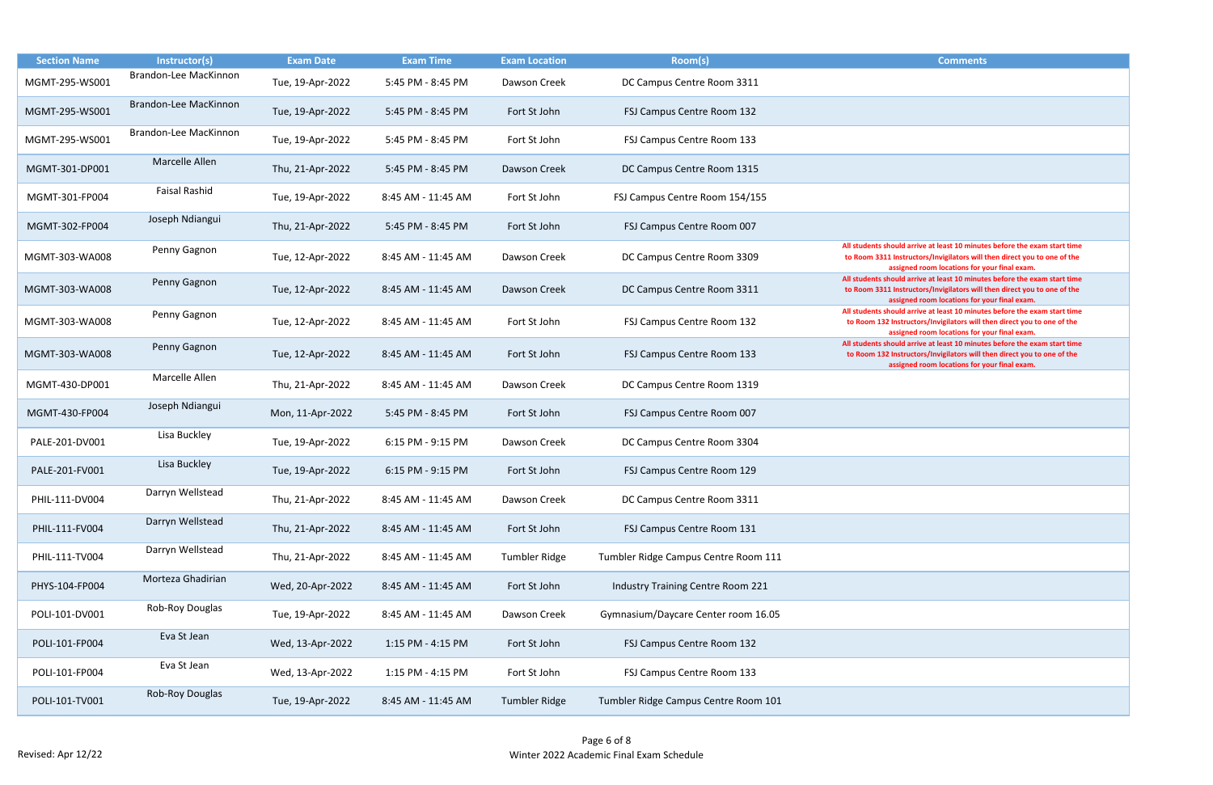| <b>Comments</b>                                                                                                                                       |
|-------------------------------------------------------------------------------------------------------------------------------------------------------|
|                                                                                                                                                       |
|                                                                                                                                                       |
|                                                                                                                                                       |
|                                                                                                                                                       |
|                                                                                                                                                       |
|                                                                                                                                                       |
|                                                                                                                                                       |
|                                                                                                                                                       |
|                                                                                                                                                       |
|                                                                                                                                                       |
|                                                                                                                                                       |
|                                                                                                                                                       |
| All students should arrive at least 10 minutes before the exam start time                                                                             |
| to Room 3311 Instructors/Invigilators will then direct you to one of the                                                                              |
| assigned room locations for your final exam.                                                                                                          |
| All students should arrive at least 10 minutes before the exam start time<br>to Room 3311 Instructors/Invigilators will then direct you to one of the |
| assigned room locations for your final exam.                                                                                                          |
| All students should arrive at least 10 minutes before the exam start time                                                                             |
| to Room 132 Instructors/Invigilators will then direct you to one of the<br>assigned room locations for your final exam.                               |
| All students should arrive at least 10 minutes before the exam start time                                                                             |
| to Room 132 Instructors/Invigilators will then direct you to one of the                                                                               |
| assigned room locations for your final exam.                                                                                                          |
|                                                                                                                                                       |
|                                                                                                                                                       |
|                                                                                                                                                       |
|                                                                                                                                                       |
|                                                                                                                                                       |
|                                                                                                                                                       |
|                                                                                                                                                       |
|                                                                                                                                                       |
|                                                                                                                                                       |
|                                                                                                                                                       |
|                                                                                                                                                       |
|                                                                                                                                                       |
|                                                                                                                                                       |
|                                                                                                                                                       |
|                                                                                                                                                       |
|                                                                                                                                                       |
|                                                                                                                                                       |
|                                                                                                                                                       |
|                                                                                                                                                       |
|                                                                                                                                                       |
|                                                                                                                                                       |
|                                                                                                                                                       |
|                                                                                                                                                       |
|                                                                                                                                                       |

| <b>Section Name</b> | Instructor(s)         | <b>Exam Date</b> | <b>Exam Time</b>   | <b>Exam Location</b> | Room(s)                                  | <b>Comments</b>                                                                                                                |
|---------------------|-----------------------|------------------|--------------------|----------------------|------------------------------------------|--------------------------------------------------------------------------------------------------------------------------------|
| MGMT-295-WS001      | Brandon-Lee MacKinnon | Tue, 19-Apr-2022 | 5:45 PM - 8:45 PM  | Dawson Creek         | DC Campus Centre Room 3311               |                                                                                                                                |
| MGMT-295-WS001      | Brandon-Lee MacKinnon | Tue, 19-Apr-2022 | 5:45 PM - 8:45 PM  | Fort St John         | FSJ Campus Centre Room 132               |                                                                                                                                |
| MGMT-295-WS001      | Brandon-Lee MacKinnon | Tue, 19-Apr-2022 | 5:45 PM - 8:45 PM  | Fort St John         | FSJ Campus Centre Room 133               |                                                                                                                                |
| MGMT-301-DP001      | Marcelle Allen        | Thu, 21-Apr-2022 | 5:45 PM - 8:45 PM  | Dawson Creek         | DC Campus Centre Room 1315               |                                                                                                                                |
| MGMT-301-FP004      | <b>Faisal Rashid</b>  | Tue, 19-Apr-2022 | 8:45 AM - 11:45 AM | Fort St John         | FSJ Campus Centre Room 154/155           |                                                                                                                                |
| MGMT-302-FP004      | Joseph Ndiangui       | Thu, 21-Apr-2022 | 5:45 PM - 8:45 PM  | Fort St John         | FSJ Campus Centre Room 007               |                                                                                                                                |
| MGMT-303-WA008      | Penny Gagnon          | Tue, 12-Apr-2022 | 8:45 AM - 11:45 AM | Dawson Creek         | DC Campus Centre Room 3309               | All students should arrive at least 10 minute<br>to Room 3311 Instructors/Invigilators will t<br>assigned room locations for y |
| MGMT-303-WA008      | Penny Gagnon          | Tue, 12-Apr-2022 | 8:45 AM - 11:45 AM | <b>Dawson Creek</b>  | DC Campus Centre Room 3311               | All students should arrive at least 10 minute<br>to Room 3311 Instructors/Invigilators will t<br>assigned room locations for y |
| MGMT-303-WA008      | Penny Gagnon          | Tue, 12-Apr-2022 | 8:45 AM - 11:45 AM | Fort St John         | FSJ Campus Centre Room 132               | All students should arrive at least 10 minute<br>to Room 132 Instructors/Invigilators will t<br>assigned room locations for y  |
| MGMT-303-WA008      | Penny Gagnon          | Tue, 12-Apr-2022 | 8:45 AM - 11:45 AM | Fort St John         | FSJ Campus Centre Room 133               | All students should arrive at least 10 minute<br>to Room 132 Instructors/Invigilators will t<br>assigned room locations for y  |
| MGMT-430-DP001      | Marcelle Allen        | Thu, 21-Apr-2022 | 8:45 AM - 11:45 AM | Dawson Creek         | DC Campus Centre Room 1319               |                                                                                                                                |
| MGMT-430-FP004      | Joseph Ndiangui       | Mon, 11-Apr-2022 | 5:45 PM - 8:45 PM  | Fort St John         | FSJ Campus Centre Room 007               |                                                                                                                                |
| PALE-201-DV001      | Lisa Buckley          | Tue, 19-Apr-2022 | 6:15 PM - 9:15 PM  | Dawson Creek         | DC Campus Centre Room 3304               |                                                                                                                                |
| PALE-201-FV001      | Lisa Buckley          | Tue, 19-Apr-2022 | 6:15 PM - 9:15 PM  | Fort St John         | FSJ Campus Centre Room 129               |                                                                                                                                |
| PHIL-111-DV004      | Darryn Wellstead      | Thu, 21-Apr-2022 | 8:45 AM - 11:45 AM | Dawson Creek         | DC Campus Centre Room 3311               |                                                                                                                                |
| PHIL-111-FV004      | Darryn Wellstead      | Thu, 21-Apr-2022 | 8:45 AM - 11:45 AM | Fort St John         | FSJ Campus Centre Room 131               |                                                                                                                                |
| PHIL-111-TV004      | Darryn Wellstead      | Thu, 21-Apr-2022 | 8:45 AM - 11:45 AM | <b>Tumbler Ridge</b> | Tumbler Ridge Campus Centre Room 111     |                                                                                                                                |
| PHYS-104-FP004      | Morteza Ghadirian     | Wed, 20-Apr-2022 | 8:45 AM - 11:45 AM | Fort St John         | <b>Industry Training Centre Room 221</b> |                                                                                                                                |
| POLI-101-DV001      | Rob-Roy Douglas       | Tue, 19-Apr-2022 | 8:45 AM - 11:45 AM | Dawson Creek         | Gymnasium/Daycare Center room 16.05      |                                                                                                                                |
| POLI-101-FP004      | Eva St Jean           | Wed, 13-Apr-2022 | 1:15 PM - 4:15 PM  | Fort St John         | FSJ Campus Centre Room 132               |                                                                                                                                |
| POLI-101-FP004      | Eva St Jean           | Wed, 13-Apr-2022 | 1:15 PM - 4:15 PM  | Fort St John         | FSJ Campus Centre Room 133               |                                                                                                                                |
| POLI-101-TV001      | Rob-Roy Douglas       | Tue, 19-Apr-2022 | 8:45 AM - 11:45 AM | <b>Tumbler Ridge</b> | Tumbler Ridge Campus Centre Room 101     |                                                                                                                                |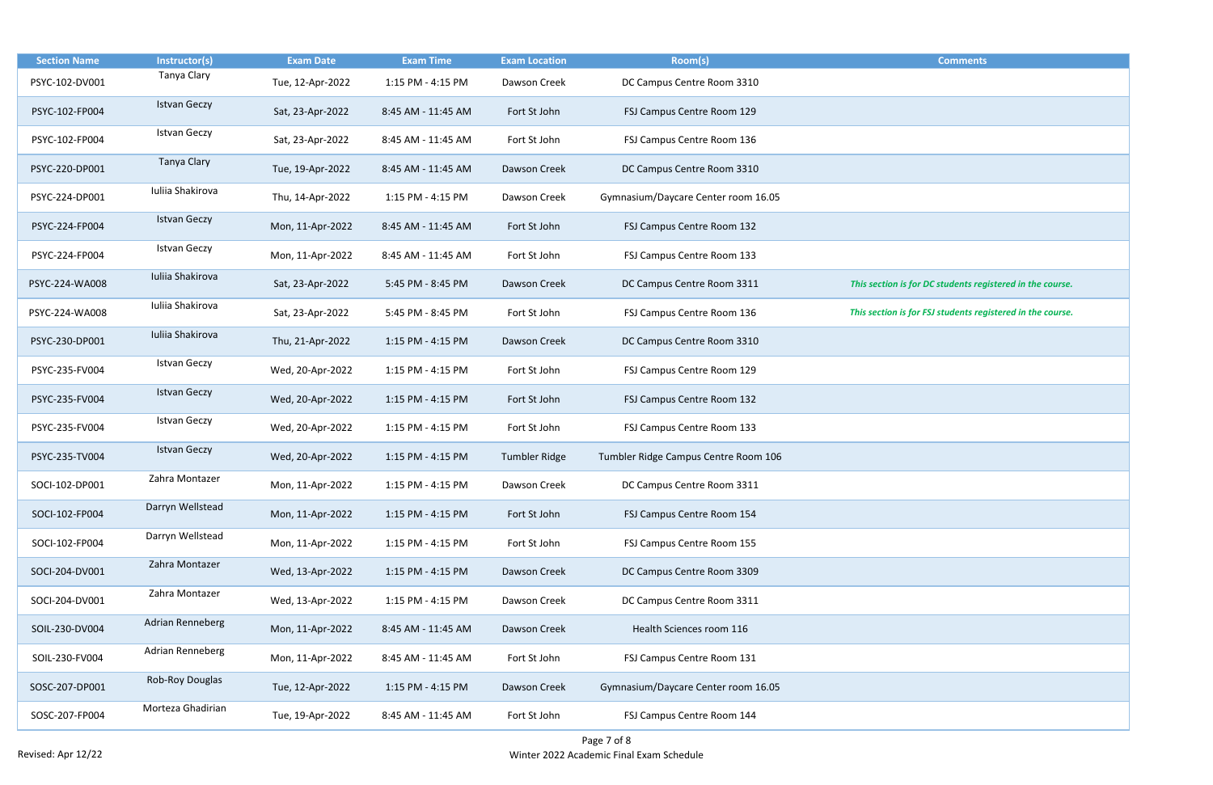| <b>Section Name</b> | Instructor(s)       | <b>Exam Date</b> | <b>Exam Time</b>   | <b>Exam Location</b> | Room(s)                              | <b>Comments</b>                                            |
|---------------------|---------------------|------------------|--------------------|----------------------|--------------------------------------|------------------------------------------------------------|
| PSYC-102-DV001      | Tanya Clary         | Tue, 12-Apr-2022 | 1:15 PM - 4:15 PM  | Dawson Creek         | DC Campus Centre Room 3310           |                                                            |
| PSYC-102-FP004      | <b>Istvan Geczy</b> | Sat, 23-Apr-2022 | 8:45 AM - 11:45 AM | Fort St John         | FSJ Campus Centre Room 129           |                                                            |
| PSYC-102-FP004      | <b>Istvan Geczy</b> | Sat, 23-Apr-2022 | 8:45 AM - 11:45 AM | Fort St John         | FSJ Campus Centre Room 136           |                                                            |
| PSYC-220-DP001      | Tanya Clary         | Tue, 19-Apr-2022 | 8:45 AM - 11:45 AM | Dawson Creek         | DC Campus Centre Room 3310           |                                                            |
| PSYC-224-DP001      | Iuliia Shakirova    | Thu, 14-Apr-2022 | 1:15 PM - 4:15 PM  | Dawson Creek         | Gymnasium/Daycare Center room 16.05  |                                                            |
| PSYC-224-FP004      | <b>Istvan Geczy</b> | Mon, 11-Apr-2022 | 8:45 AM - 11:45 AM | Fort St John         | FSJ Campus Centre Room 132           |                                                            |
| PSYC-224-FP004      | <b>Istvan Geczy</b> | Mon, 11-Apr-2022 | 8:45 AM - 11:45 AM | Fort St John         | FSJ Campus Centre Room 133           |                                                            |
| PSYC-224-WA008      | Iuliia Shakirova    | Sat, 23-Apr-2022 | 5:45 PM - 8:45 PM  | Dawson Creek         | DC Campus Centre Room 3311           | This section is for DC students registered in the course.  |
| PSYC-224-WA008      | Iuliia Shakirova    | Sat, 23-Apr-2022 | 5:45 PM - 8:45 PM  | Fort St John         | FSJ Campus Centre Room 136           | This section is for FSJ students registered in the course. |
| PSYC-230-DP001      | Iuliia Shakirova    | Thu, 21-Apr-2022 | 1:15 PM - 4:15 PM  | Dawson Creek         | DC Campus Centre Room 3310           |                                                            |
| PSYC-235-FV004      | <b>Istvan Geczy</b> | Wed, 20-Apr-2022 | 1:15 PM - 4:15 PM  | Fort St John         | FSJ Campus Centre Room 129           |                                                            |
| PSYC-235-FV004      | <b>Istvan Geczy</b> | Wed, 20-Apr-2022 | 1:15 PM - 4:15 PM  | Fort St John         | FSJ Campus Centre Room 132           |                                                            |
| PSYC-235-FV004      | <b>Istvan Geczy</b> | Wed, 20-Apr-2022 | 1:15 PM - 4:15 PM  | Fort St John         | FSJ Campus Centre Room 133           |                                                            |
| PSYC-235-TV004      | <b>Istvan Geczy</b> | Wed, 20-Apr-2022 | 1:15 PM - 4:15 PM  | <b>Tumbler Ridge</b> | Tumbler Ridge Campus Centre Room 106 |                                                            |
| SOCI-102-DP001      | Zahra Montazer      | Mon, 11-Apr-2022 | 1:15 PM - 4:15 PM  | Dawson Creek         | DC Campus Centre Room 3311           |                                                            |
| SOCI-102-FP004      | Darryn Wellstead    | Mon, 11-Apr-2022 | 1:15 PM - 4:15 PM  | Fort St John         | FSJ Campus Centre Room 154           |                                                            |
| SOCI-102-FP004      | Darryn Wellstead    | Mon, 11-Apr-2022 | 1:15 PM - 4:15 PM  | Fort St John         | FSJ Campus Centre Room 155           |                                                            |
| SOCI-204-DV001      | Zahra Montazer      | Wed, 13-Apr-2022 | 1:15 PM - 4:15 PM  | Dawson Creek         | DC Campus Centre Room 3309           |                                                            |
| SOCI-204-DV001      | Zahra Montazer      | Wed, 13-Apr-2022 | 1:15 PM - 4:15 PM  | Dawson Creek         | DC Campus Centre Room 3311           |                                                            |
| SOIL-230-DV004      | Adrian Renneberg    | Mon, 11-Apr-2022 | 8:45 AM - 11:45 AM | Dawson Creek         | Health Sciences room 116             |                                                            |
| SOIL-230-FV004      | Adrian Renneberg    | Mon, 11-Apr-2022 | 8:45 AM - 11:45 AM | Fort St John         | FSJ Campus Centre Room 131           |                                                            |
| SOSC-207-DP001      | Rob-Roy Douglas     | Tue, 12-Apr-2022 | 1:15 PM - 4:15 PM  | Dawson Creek         | Gymnasium/Daycare Center room 16.05  |                                                            |
| SOSC-207-FP004      | Morteza Ghadirian   | Tue, 19-Apr-2022 | 8:45 AM - 11:45 AM | Fort St John         | FSJ Campus Centre Room 144           |                                                            |

| <b>Comments</b>                                 |
|-------------------------------------------------|
|                                                 |
|                                                 |
|                                                 |
|                                                 |
|                                                 |
|                                                 |
|                                                 |
|                                                 |
|                                                 |
|                                                 |
|                                                 |
|                                                 |
|                                                 |
|                                                 |
|                                                 |
|                                                 |
|                                                 |
| on is for DC students registered in the course. |
|                                                 |
| n is for FSJ students registered in the course. |
|                                                 |
|                                                 |
|                                                 |
|                                                 |
|                                                 |
|                                                 |
|                                                 |
|                                                 |
|                                                 |
|                                                 |
|                                                 |
|                                                 |
|                                                 |
|                                                 |
|                                                 |
|                                                 |
|                                                 |
|                                                 |
|                                                 |
|                                                 |
|                                                 |
|                                                 |
|                                                 |
|                                                 |
|                                                 |
|                                                 |
|                                                 |
|                                                 |
|                                                 |
|                                                 |
|                                                 |
|                                                 |
|                                                 |